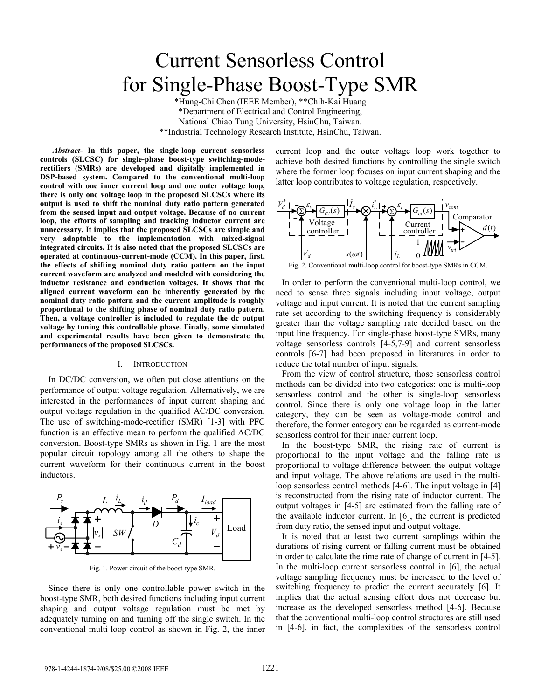# Current Sensorless Control for Single-Phase Boost-Type SMR \*Hung-Chi Chen (IEEE Member), \*\*Chih-Kai Huang

\*Department of Electrical and Control Engineering, National Chiao Tung University, HsinChu, Taiwan. \*\*Industrial Technology Research Institute, HsinChu, Taiwan.

*Abstract-* **In this paper, the single-loop current sensorless controls (SLCSC) for single-phase boost-type switching-moderectifiers (SMRs) are developed and digitally implemented in DSP-based system. Compared to the conventional multi-loop control with one inner current loop and one outer voltage loop, there is only one voltage loop in the proposed SLCSCs where its output is used to shift the nominal duty ratio pattern generated from the sensed input and output voltage. Because of no current loop, the efforts of sampling and tracking inductor current are unnecessary. It implies that the proposed SLCSCs are simple and very adaptable to the implementation with mixed-signal integrated circuits. It is also noted that the proposed SLCSCs are operated at continuous-current-mode (CCM). In this paper, first, the effects of shifting nominal duty ratio pattern on the input current waveform are analyzed and modeled with considering the inductor resistance and conduction voltages. It shows that the aligned current waveform can be inherently generated by the nominal duty ratio pattern and the current amplitude is roughly proportional to the shifting phase of nominal duty ratio pattern. Then, a voltage controller is included to regulate the dc output voltage by tuning this controllable phase. Finally, some simulated and experimental results have been given to demonstrate the performances of the proposed SLCSCs.**

# I. INTRODUCTION

In DC/DC conversion, we often put close attentions on the performance of output voltage regulation. Alternatively, we are interested in the performances of input current shaping and output voltage regulation in the qualified AC/DC conversion. The use of switching-mode-rectifier (SMR) [1-3] with PFC function is an effective mean to perform the qualified AC/DC conversion. Boost-type SMRs as shown in Fig. 1 are the most popular circuit topology among all the others to shape the current waveform for their continuous current in the boost inductors.



Fig. 1. Power circuit of the boost-type SMR.

Since there is only one controllable power switch in the boost-type SMR, both desired functions including input current shaping and output voltage regulation must be met by adequately turning on and turning off the single switch. In the conventional multi-loop control as shown in Fig. 2, the inner current loop and the outer voltage loop work together to achieve both desired functions by controlling the single switch where the former loop focuses on input current shaping and the latter loop contributes to voltage regulation, respectively.



Fig. 2. Conventional multi-loop control for boost-type SMRs in CCM.

In order to perform the conventional multi-loop control, we need to sense three signals including input voltage, output voltage and input current. It is noted that the current sampling rate set according to the switching frequency is considerably greater than the voltage sampling rate decided based on the input line frequency. For single-phase boost-type SMRs, many voltage sensorless controls [4-5,7-9] and current sensorless controls [6-7] had been proposed in literatures in order to reduce the total number of input signals.

From the view of control structure, those sensorless control methods can be divided into two categories: one is multi-loop sensorless control and the other is single-loop sensorless control. Since there is only one voltage loop in the latter category, they can be seen as voltage-mode control and therefore, the former category can be regarded as current-mode sensorless control for their inner current loop.

In the boost-type SMR, the rising rate of current is proportional to the input voltage and the falling rate is proportional to voltage difference between the output voltage and input voltage. The above relations are used in the multiloop sensorless control methods [4-6]. The input voltage in [4] is reconstructed from the rising rate of inductor current. The output voltages in [4-5] are estimated from the falling rate of the available inductor current. In [6], the current is predicted from duty ratio, the sensed input and output voltage.

It is noted that at least two current samplings within the durations of rising current or falling current must be obtained in order to calculate the time rate of change of current in [4-5]. In the multi-loop current sensorless control in [6], the actual voltage sampling frequency must be increased to the level of switching frequency to predict the current accurately [6]. It implies that the actual sensing effort does not decrease but increase as the developed sensorless method [4-6]. Because that the conventional multi-loop control structures are still used in [4-6], in fact, the complexities of the sensorless control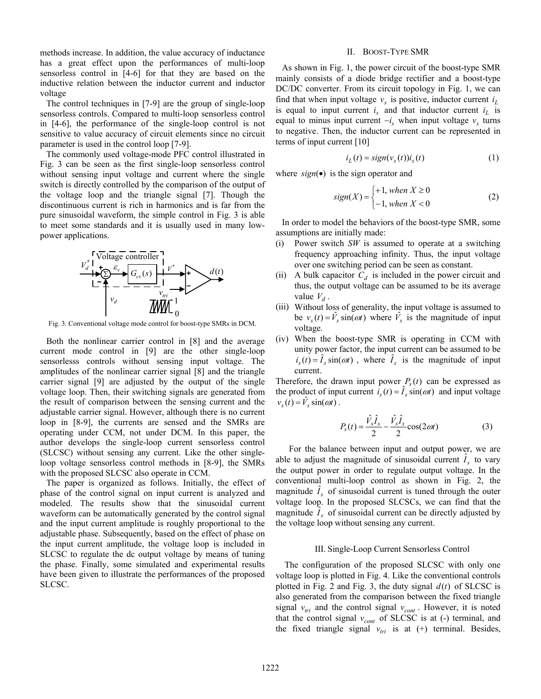methods increase. In addition, the value accuracy of inductance has a great effect upon the performances of multi-loop sensorless control in [4-6] for that they are based on the inductive relation between the inductor current and inductor voltage

The control techniques in [7-9] are the group of single-loop sensorless controls. Compared to multi-loop sensorless control in [4-6], the performance of the single-loop control is not sensitive to value accuracy of circuit elements since no circuit parameter is used in the control loop [7-9].

The commonly used voltage-mode PFC control illustrated in Fig. 3 can be seen as the first single-loop sensorless control without sensing input voltage and current where the single switch is directly controlled by the comparison of the output of the voltage loop and the triangle signal [7]. Though the discontinuous current is rich in harmonics and is far from the pure sinusoidal waveform, the simple control in Fig. 3 is able to meet some standards and it is usually used in many lowpower applications.



Fig. 3. Conventional voltage mode control for boost-type SMRs in DCM.

Both the nonlinear carrier control in [8] and the average current mode control in [9] are the other single-loop sensorlesss controls without sensing input voltage. The amplitudes of the nonlinear carrier signal [8] and the triangle carrier signal [9] are adjusted by the output of the single voltage loop. Then, their switching signals are generated from the result of comparison between the sensing current and the adjustable carrier signal. However, although there is no current loop in [8-9], the currents are sensed and the SMRs are operating under CCM, not under DCM. In this paper, the author develops the single-loop current sensorless control (SLCSC) without sensing any current. Like the other singleloop voltage sensorless control methods in [8-9], the SMRs with the proposed SLCSC also operate in CCM.

The paper is organized as follows. Initially, the effect of phase of the control signal on input current is analyzed and modeled. The results show that the sinusoidal current waveform can be automatically generated by the control signal and the input current amplitude is roughly proportional to the adjustable phase. Subsequently, based on the effect of phase on the input current amplitude, the voltage loop is included in SLCSC to regulate the dc output voltage by means of tuning the phase. Finally, some simulated and experimental results have been given to illustrate the performances of the proposed SLCSC.

### II. BOOST-TYPE SMR

As shown in Fig. 1, the power circuit of the boost-type SMR mainly consists of a diode bridge rectifier and a boost-type DC/DC converter. From its circuit topology in Fig. 1, we can find that when input voltage  $v<sub>s</sub>$  is positive, inductor current  $i<sub>L</sub>$ is equal to input current  $i<sub>s</sub>$  and that inductor current  $i<sub>L</sub>$  is equal to minus input current  $-i<sub>s</sub>$  when input voltage  $v<sub>s</sub>$  turns to negative. Then, the inductor current can be represented in terms of input current [10]

$$
i_L(t) = sign(v_s(t))i_s(t)
$$
\n(1)

where  $sign(\bullet)$  is the sign operator and

$$
sign(X) = \begin{cases} +1, when X \ge 0\\ -1, when X < 0 \end{cases}
$$
 (2)

In order to model the behaviors of the boost-type SMR, some assumptions are initially made:

- (i) Power switch *SW* is assumed to operate at a switching frequency approaching infinity. Thus, the input voltage over one switching period can be seen as constant.
- (ii) A bulk capacitor  $C_d$  is included in the power circuit and thus, the output voltage can be assumed to be its average value  $V_d$ .
- (iii) Without loss of generality, the input voltage is assumed to be  $v_s(t) = \hat{V}_s \sin(\omega t)$  where  $\hat{V}_s$  is the magnitude of input voltage.
- (iv) When the boost-type SMR is operating in CCM with unity power factor, the input current can be assumed to be  $i_s(t) = \hat{I}_s \sin(\omega t)$ , where  $\hat{I}_s$  is the magnitude of input current.

Therefore, the drawn input power  $P_s(t)$  can be expressed as the product of input current  $i_s(t) = \hat{I}_s \sin(\omega t)$  and input voltage  $v_s(t) = \hat{V}_s \sin(\omega t)$ .

$$
P_s(t) = \frac{\hat{V}_s \hat{I}_s}{2} - \frac{\hat{V}_s \hat{I}_s}{2} \cos(2\omega t)
$$
 (3)

For the balance between input and output power, we are able to adjust the magnitude of sinusoidal current  $\hat{I}_s$  to vary the output power in order to regulate output voltage. In the conventional multi-loop control as shown in Fig. 2, the magnitude  $\hat{I}_s$  of sinusoidal current is tuned through the outer voltage loop. In the proposed SLCSCs, we can find that the magnitude  $\hat{I}_s$  of sinusoidal current can be directly adjusted by the voltage loop without sensing any current.

# III. Single-Loop Current Sensorless Control

The configuration of the proposed SLCSC with only one voltage loop is plotted in Fig. 4. Like the conventional controls plotted in Fig. 2 and Fig. 3, the duty signal  $d(t)$  of SLCSC is also generated from the comparison between the fixed triangle signal  $v_{tri}$  and the control signal  $v_{cont}$ . However, it is noted that the control signal  $v_{cont}$  of SLCSC is at (-) terminal, and the fixed triangle signal  $v_{tri}$  is at  $(+)$  terminal. Besides,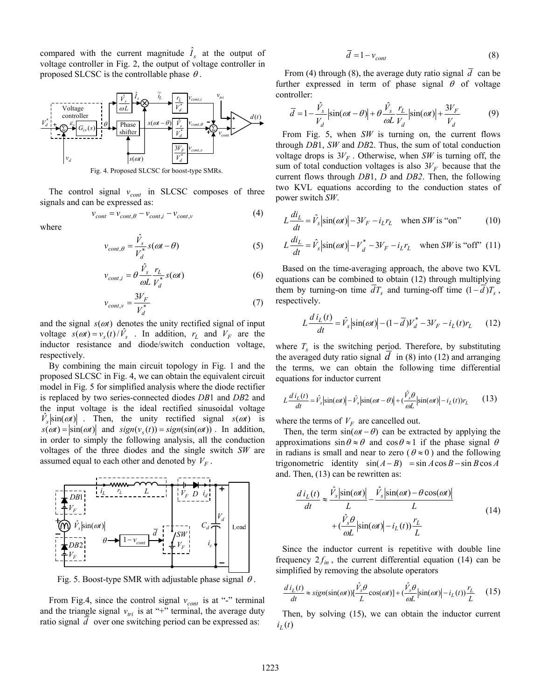compared with the current magnitude  $\hat{I}_s$  at the output of voltage controller in Fig. 2, the output of voltage controller in proposed SLCSC is the controllable phase  $\theta$ .



Fig. 4. Proposed SLCSC for boost-type SMRs.

The control signal  $v_{cont}$  in SLCSC composes of three signals and can be expressed as:

$$
v_{cont} = v_{cont,\theta} - v_{cont,i} - v_{cont,v}
$$
(4)

where

$$
v_{cont, \theta} = \frac{\hat{V}_s}{V_d^*} s(\omega t - \theta)
$$
 (5)

$$
v_{cont,i} = \theta \frac{\hat{V}_s}{\omega L} \frac{r_L}{V_d^*} s(\omega t)
$$
 (6)

$$
v_{cont,v} = \frac{3V_F}{V_d^*}
$$
 (7)

and the signal  $s(\omega t)$  denotes the unity rectified signal of input voltage  $s(\omega t) = v_s(t)/\hat{V}_s$ . In addition,  $r_L$  and  $V_F$  are the inductor resistance and diode/switch conduction voltage, respectively.

By combining the main circuit topology in Fig. 1 and the proposed SLCSC in Fig. 4, we can obtain the equivalent circuit model in Fig. 5 for simplified analysis where the diode rectifier is replaced by two series-connected diodes *DB*1 and *DB*2 and the input voltage is the ideal rectified sinusoidal voltage  $V_{\rm s}$   $\left| \sin(\omega t) \right|$ . Then, the unity rectified signal  $s(\omega t)$  is  $s(\omega t) = |\sin(\omega t)|$  and  $sign(v_s(t)) = sign(sin(\omega t))$ . In addition, in order to simply the following analysis, all the conduction voltages of the three diodes and the single switch *SW* are assumed equal to each other and denoted by  $V_F$ .



Fig. 5. Boost-type SMR with adjustable phase signal  $\theta$ .

From Fig.4, since the control signal  $v_{cont}$  is at "-" terminal and the triangle signal  $v_{tri}$  is at "+" terminal, the average duty ratio signal *d* over one switching period can be expressed as:

$$
\overline{d} = 1 - v_{cont} \tag{8}
$$

From (4) through (8), the average duty ratio signal  $\overline{d}$  can be further expressed in term of phase signal  $\theta$  of voltage controller:

$$
\overline{d} = 1 - \frac{\hat{V}_s}{V_d} \left| \sin(\omega t - \theta) \right| + \theta \frac{\hat{V}_s}{\omega L} \frac{r_L}{V_d} \left| \sin(\omega t) \right| + \frac{3V_F}{V_d} \tag{9}
$$

From Fig. 5, when *SW* is turning on, the current flows through *DB*1, *SW* and *DB*2. Thus, the sum of total conduction voltage drops is  $3V_F$ . Otherwise, when SW is turning off, the sum of total conduction voltages is also  $3V_F$  because that the current flows through *DB*1, *D* and *DB2*. Then, the following two KVL equations according to the conduction states of power switch *SW*.

$$
L\frac{di_L}{dt} = \hat{V}_s \left| \sin(\omega t) \right| - 3V_F - i_L r_L \quad \text{when } SW \text{ is "on"} \tag{10}
$$

$$
L\frac{di_L}{dt} = \hat{V}_s \left| \sin(\omega t) \right| - V_d^* - 3V_F - i_L r_L \quad \text{when } SW \text{ is "off" (11)}
$$

Based on the time-averaging approach, the above two KVL equations can be combined to obtain (12) through multiplying them by turning-on time  $\overline{d}T_s$  and turning-off time  $(1-\overline{d})T_s$ , respectively.

$$
L\frac{d i_L(t)}{dt} = \hat{V}_s \left| \sin(\omega t) \right| - (1 - \overline{d})V_d^* - 3V_F - i_L(t)r_L \qquad (12)
$$

where  $T_s$  is the switching period. Therefore, by substituting the averaged duty ratio signal  $d$  in (8) into (12) and arranging the terms, we can obtain the following time differential equations for inductor current

$$
L\frac{d\,i_L(t)}{dt} = \hat{V}_s \left| \sin(\omega t) \right| - \hat{V}_s \left| \sin(\omega t - \theta) \right| + \left( \frac{\hat{V}_s \theta}{\omega L} \left| \sin(\omega t) \right| - i_L(t) \right) r_L \tag{13}
$$

where the terms of  $V_F$  are cancelled out.

Then, the term  $sin(\omega t - \theta)$  can be extracted by applying the approximations  $\sin \theta \approx \theta$  and  $\cos \theta \approx 1$  if the phase signal  $\theta$ in radians is small and near to zero ( $\theta \approx 0$ ) and the following trigonometric identity  $sin(A - B) = sin A cos B - sin B cos A$ and. Then, (13) can be rewritten as:

$$
\frac{d i_L(t)}{dt} \approx \frac{\hat{V}_s |\sin(\omega t)|}{L} - \frac{\hat{V}_s |\sin(\omega t) - \theta \cos(\omega t)|}{L}
$$
  
+ 
$$
(\frac{\hat{V}_s \theta}{\omega L} |\sin(\omega t)| - i_L(t)) \frac{r_L}{L}
$$
(14)

Since the inductor current is repetitive with double line frequency  $2f_{in}$ , the current differential equation (14) can be simplified by removing the absolute operators

$$
\frac{d i_L(t)}{dt} \approx sign(sin(\omega t))[\frac{\hat{V}_s \theta}{L} cos(\omega t)] + (\frac{\hat{V}_s \theta}{\omega L}|sin(\omega t)| - i_L(t))\frac{r_L}{L}
$$
 (15)

Then, by solving (15), we can obtain the inductor current  $i_L(t)$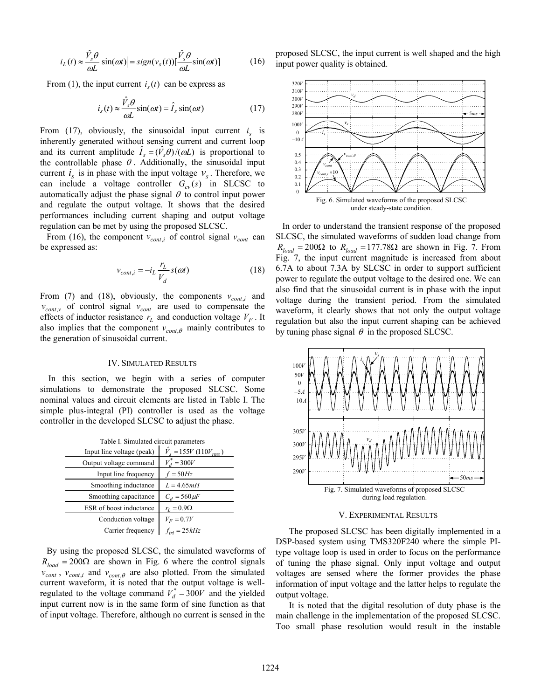$$
i_L(t) \approx \frac{\hat{V}_s \theta}{\omega L} \left| \sin(\omega t) \right| = sign(v_s(t)) \left[ \frac{\hat{V}_s \theta}{\omega L} \sin(\omega t) \right] \tag{16}
$$

From (1), the input current  $i<sub>s</sub>(t)$  can be express as

$$
i_s(t) \approx \frac{\hat{V}_s \theta}{\omega L} \sin(\omega t) = \hat{I}_s \sin(\omega t)
$$
 (17)

From (17), obviously, the sinusoidal input current  $i_s$  is inherently generated without sensing current and current loop and its current amplitude  $\hat{I}_s = (\hat{V}_s \hat{\theta})/(\omega L)$  is proportional to the controllable phase  $\theta$ . Additionally, the sinusoidal input current  $i_s$  is in phase with the input voltage  $v_s$ . Therefore, we can include a voltage controller  $G_{cv}(s)$  in SLCSC to automatically adjust the phase signal  $\theta$  to control input power and regulate the output voltage. It shows that the desired performances including current shaping and output voltage regulation can be met by using the proposed SLCSC.

From (16), the component  $v_{cont,i}$  of control signal  $v_{cont}$  can be expressed as:

$$
v_{cont,i} = -i_L \frac{r_L}{V_d} s(\omega t)
$$
 (18)

From (7) and (18), obviously, the components  $v_{cont,i}$  and  $v_{cont,v}$  of control signal  $v_{cont}$  are used to compensate the effects of inductor resistance  $r_L$  and conduction voltage  $V_F$ . It also implies that the component  $v_{cont, \theta}$  mainly contributes to the generation of sinusoidal current.

### IV. SIMULATED RESULTS

In this section, we begin with a series of computer simulations to demonstrate the proposed SLCSC. Some nominal values and circuit elements are listed in Table I. The simple plus-integral (PI) controller is used as the voltage controller in the developed SLCSC to adjust the phase.

| Table I. Simulated circuit parameters |                                 |
|---------------------------------------|---------------------------------|
| Input line voltage (peak)             | $\hat{V}_s = 155V (110V_{rms})$ |
| Output voltage command                | $V_d^* = 300V$                  |
| Input line frequency                  | $f = 50Hz$                      |
| Smoothing inductance                  | $L = 4.65mH$                    |
| Smoothing capacitance                 | $C_d = 560 \,\mu F$             |
| ESR of boost inductance               | $r_L = 0.9\Omega$               |
| Conduction voltage                    | $V_F = 0.7V$                    |
| Carrier frequency                     | $f_{tri} = 25kHz$               |

By using the proposed SLCSC, the simulated waveforms of  $R_{load} = 200\Omega$  are shown in Fig. 6 where the control signals  $v_{cont}$ ,  $v_{cont,i}$  and  $v_{cont,\theta}$  are also plotted. From the simulated current waveform, it is noted that the output voltage is wellregulated to the voltage command  $V_d^* = 300V$  and the yielded input current now is in the same form of sine function as that of input voltage. Therefore, although no current is sensed in the

proposed SLCSC, the input current is well shaped and the high input power quality is obtained.



In order to understand the transient response of the proposed SLCSC, the simulated waveforms of sudden load change from  $R_{load} = 200\Omega$  to  $R_{load} = 177.78\Omega$  are shown in Fig. 7. From Fig. 7, the input current magnitude is increased from about 6.7A to about 7.3A by SLCSC in order to support sufficient power to regulate the output voltage to the desired one. We can also find that the sinusoidal current is in phase with the input voltage during the transient period. From the simulated waveform, it clearly shows that not only the output voltage regulation but also the input current shaping can be achieved by tuning phase signal  $\theta$  in the proposed SLCSC.



# V. EXPERIMENTAL RESULTS

The proposed SLCSC has been digitally implemented in a DSP-based system using TMS320F240 where the simple PItype voltage loop is used in order to focus on the performance of tuning the phase signal. Only input voltage and output voltages are sensed where the former provides the phase information of input voltage and the latter helps to regulate the output voltage.

It is noted that the digital resolution of duty phase is the main challenge in the implementation of the proposed SLCSC. Too small phase resolution would result in the instable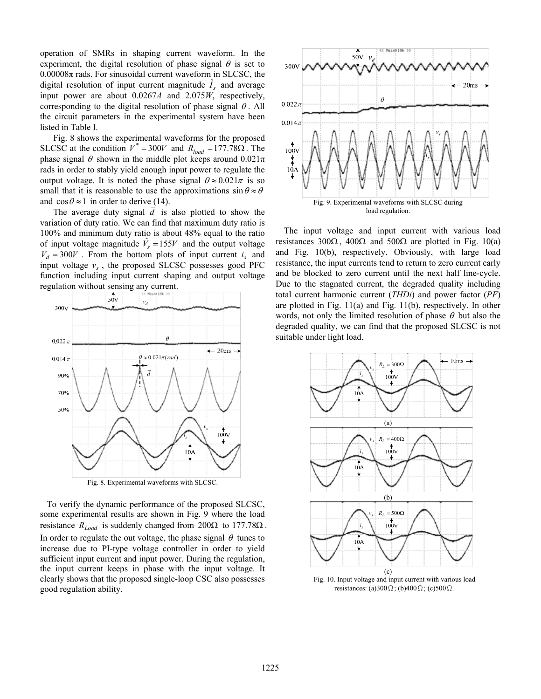operation of SMRs in shaping current waveform. In the experiment, the digital resolution of phase signal  $\theta$  is set to  $0.00008\pi$  rads. For sinusoidal current waveform in SLCSC, the digital resolution of input current magnitude  $\hat{I}_s$  and average input power are about 0.0267*A* and 2.075*W*, respectively, corresponding to the digital resolution of phase signal  $\theta$ . All the circuit parameters in the experimental system have been listed in Table I.

Fig. 8 shows the experimental waveforms for the proposed SLCSC at the condition  $V^* = 300V$  and  $R_{load} = 177.78\Omega$ . The phase signal  $\theta$  shown in the middle plot keeps around  $0.021\pi$ rads in order to stably yield enough input power to regulate the output voltage. It is noted the phase signal  $\theta \approx 0.021\pi$  is so small that it is reasonable to use the approximations  $\sin \theta \approx \theta$ and  $\cos \theta \approx 1$  in order to derive (14).

The average duty signal *d* is also plotted to show the variation of duty ratio. We can find that maximum duty ratio is 100% and minimum duty ratio is about 48% equal to the ratio of input voltage magnitude  $\hat{V}_s = 155V$  and the output voltage  $V_d = 300V$ . From the bottom plots of input current  $i_s$  and input voltage  $v_s$ , the proposed SLCSC possesses good PFC function including input current shaping and output voltage regulation without sensing any current.



To verify the dynamic performance of the proposed SLCSC, some experimental results are shown in Fig. 9 where the load resistance  $R_{Load}$  is suddenly changed from  $200Ω$  to  $177.78Ω$ . In order to regulate the out voltage, the phase signal  $\theta$  tunes to increase due to PI-type voltage controller in order to yield sufficient input current and input power. During the regulation, the input current keeps in phase with the input voltage. It clearly shows that the proposed single-loop CSC also possesses good regulation ability.



The input voltage and input current with various load resistances 300 $\Omega$ , 400 $\Omega$  and 500 $\Omega$  are plotted in Fig. 10(a) and Fig. 10(b), respectively. Obviously, with large load resistance, the input currents tend to return to zero current early and be blocked to zero current until the next half line-cycle. Due to the stagnated current, the degraded quality including total current harmonic current (*THDi*) and power factor (*PF*) are plotted in Fig. 11(a) and Fig. 11(b), respectively. In other words, not only the limited resolution of phase  $\theta$  but also the degraded quality, we can find that the proposed SLCSC is not suitable under light load.



Fig. 10. Input voltage and input current with various load resistances: (a)300 $\Omega$ ; (b)400 $\Omega$ ; (c)500 $\Omega$ .